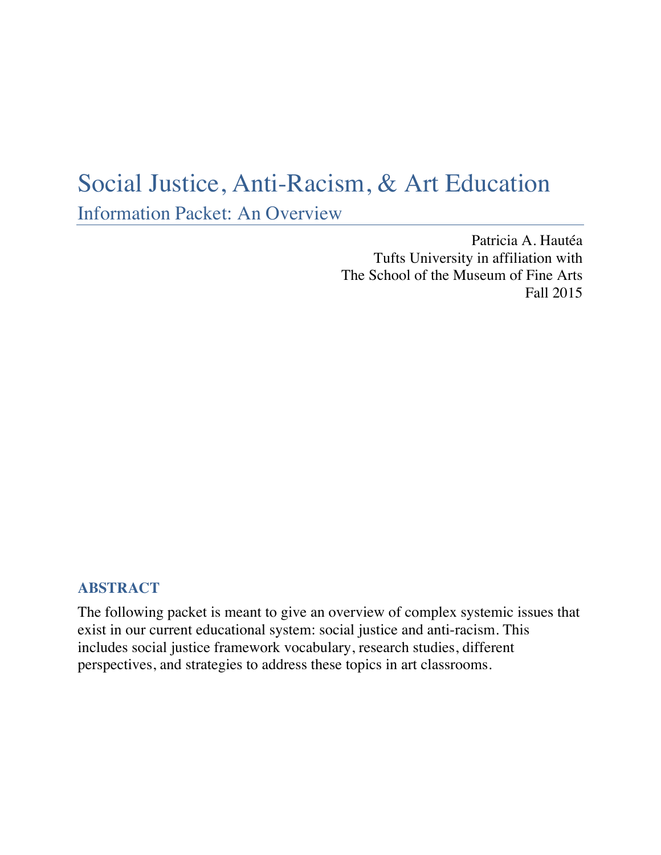## Social Justice, Anti-Racism, & Art Education Information Packet: An Overview

Patricia A. Hautéa Tufts University in affiliation with The School of the Museum of Fine Arts Fall 2015

#### **ABSTRACT**

The following packet is meant to give an overview of complex systemic issues that exist in our current educational system: social justice and anti-racism. This includes social justice framework vocabulary, research studies, different perspectives, and strategies to address these topics in art classrooms.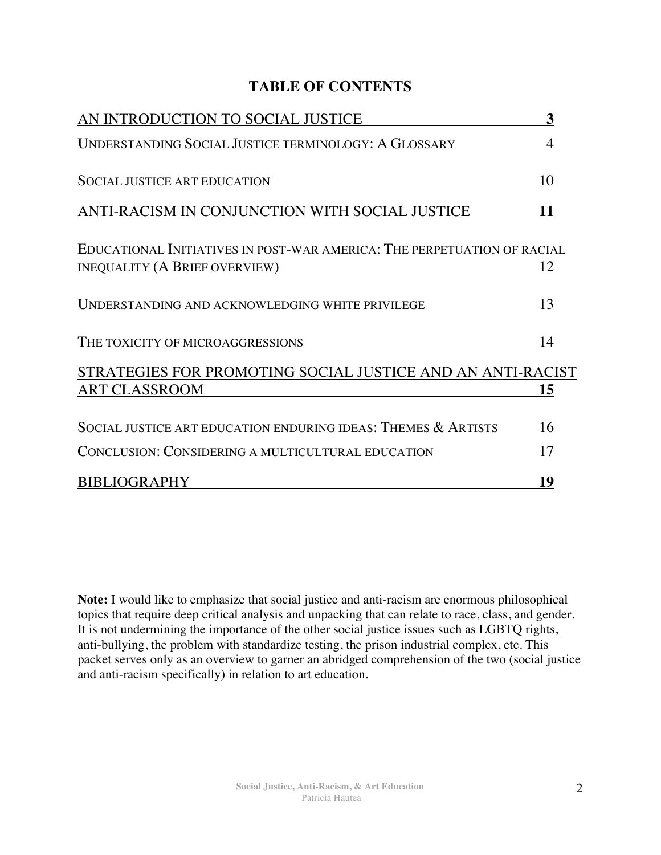#### **TABLE OF CONTENTS**

| AN INTRODUCTION TO SOCIAL JUSTICE                                                                               | 3              |
|-----------------------------------------------------------------------------------------------------------------|----------------|
| UNDERSTANDING SOCIAL JUSTICE TERMINOLOGY: A GLOSSARY                                                            | $\overline{4}$ |
| SOCIAL JUSTICE ART EDUCATION                                                                                    | 10             |
| ANTI-RACISM IN CONJUNCTION WITH SOCIAL JUSTICE                                                                  | 11             |
| EDUCATIONAL INITIATIVES IN POST-WAR AMERICA: THE PERPETUATION OF RACIAL<br><b>INEQUALITY (A BRIEF OVERVIEW)</b> | 12             |
| UNDERSTANDING AND ACKNOWLEDGING WHITE PRIVILEGE                                                                 | 13             |
| THE TOXICITY OF MICROAGGRESSIONS                                                                                | 14             |
| STRATEGIES FOR PROMOTING SOCIAL JUSTICE AND AN ANTI-RACIST                                                      |                |
| <b>ART CLASSROOM</b>                                                                                            | 15             |
| SOCIAL JUSTICE ART EDUCATION ENDURING IDEAS: THEMES & ARTISTS                                                   | 16             |
| CONCLUSION: CONSIDERING A MULTICULTURAL EDUCATION                                                               | 17             |
| <b>BIBLIOGRAPHY</b>                                                                                             | 19             |

**Note:** I would like to emphasize that social justice and anti-racism are enormous philosophical topics that require deep critical analysis and unpacking that can relate to race, class, and gender. It is not undermining the importance of the other social justice issues such as LGBTQ rights, anti-bullying, the problem with standardize testing, the prison industrial complex, etc. This packet serves only as an overview to garner an abridged comprehension of the two (social justice and anti-racism specifically) in relation to art education.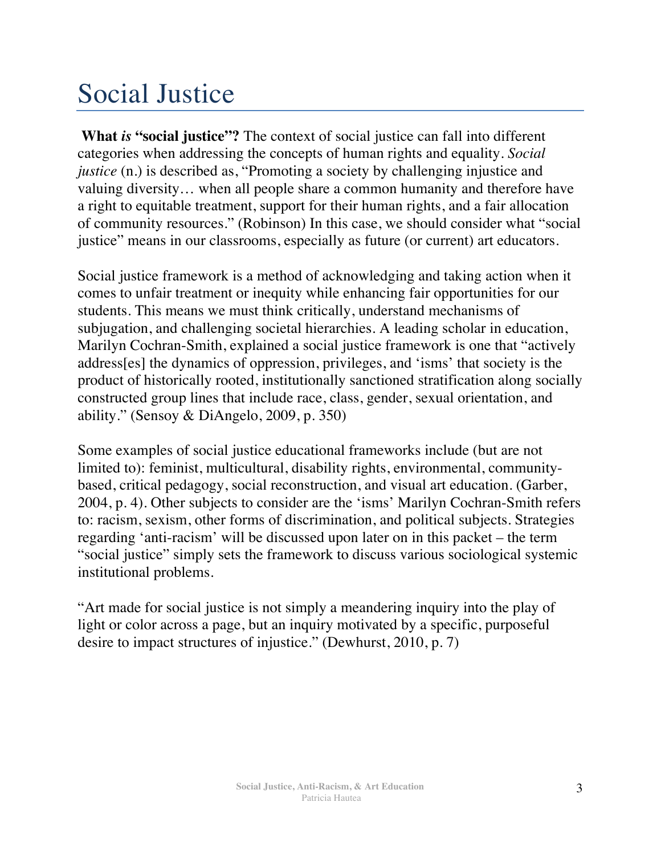# Social Justice

**What** *is* **"social justice"?** The context of social justice can fall into different categories when addressing the concepts of human rights and equality. *Social justice* (n.) is described as, "Promoting a society by challenging injustice and valuing diversity… when all people share a common humanity and therefore have a right to equitable treatment, support for their human rights, and a fair allocation of community resources." (Robinson) In this case, we should consider what "social justice" means in our classrooms, especially as future (or current) art educators.

Social justice framework is a method of acknowledging and taking action when it comes to unfair treatment or inequity while enhancing fair opportunities for our students. This means we must think critically, understand mechanisms of subjugation, and challenging societal hierarchies. A leading scholar in education, Marilyn Cochran-Smith, explained a social justice framework is one that "actively address[es] the dynamics of oppression, privileges, and 'isms' that society is the product of historically rooted, institutionally sanctioned stratification along socially constructed group lines that include race, class, gender, sexual orientation, and ability." (Sensoy & DiAngelo, 2009, p. 350)

Some examples of social justice educational frameworks include (but are not limited to): feminist, multicultural, disability rights, environmental, communitybased, critical pedagogy, social reconstruction, and visual art education. (Garber, 2004, p. 4). Other subjects to consider are the 'isms' Marilyn Cochran-Smith refers to: racism, sexism, other forms of discrimination, and political subjects. Strategies regarding 'anti-racism' will be discussed upon later on in this packet – the term "social justice" simply sets the framework to discuss various sociological systemic institutional problems.

"Art made for social justice is not simply a meandering inquiry into the play of light or color across a page, but an inquiry motivated by a specific, purposeful desire to impact structures of injustice." (Dewhurst, 2010, p. 7)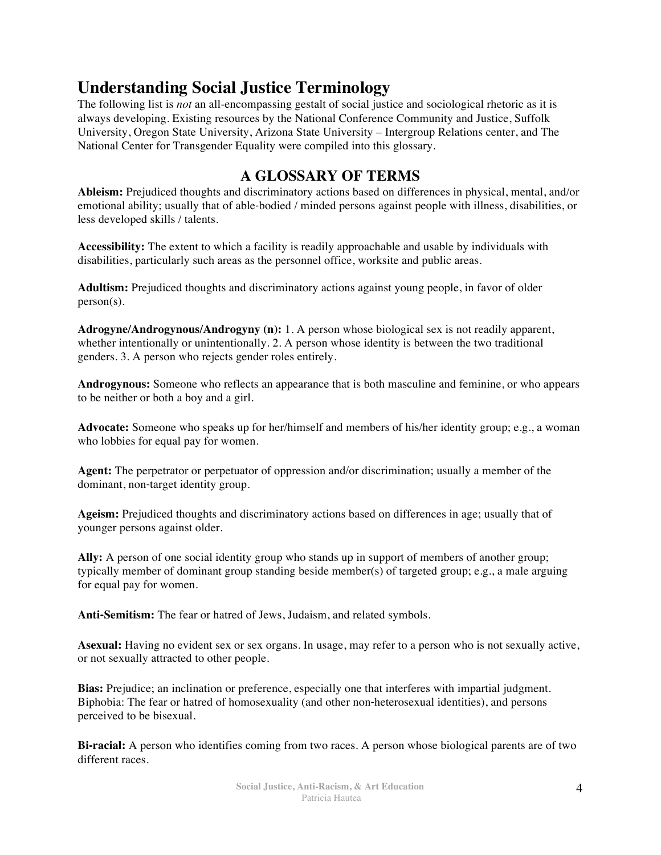### **Understanding Social Justice Terminology**

The following list is *not* an all-encompassing gestalt of social justice and sociological rhetoric as it is always developing. Existing resources by the National Conference Community and Justice, Suffolk University, Oregon State University, Arizona State University – Intergroup Relations center, and The National Center for Transgender Equality were compiled into this glossary.

#### **A GLOSSARY OF TERMS**

**Ableism:** Prejudiced thoughts and discriminatory actions based on differences in physical, mental, and/or emotional ability; usually that of able-bodied / minded persons against people with illness, disabilities, or less developed skills / talents.

**Accessibility:** The extent to which a facility is readily approachable and usable by individuals with disabilities, particularly such areas as the personnel office, worksite and public areas.

**Adultism:** Prejudiced thoughts and discriminatory actions against young people, in favor of older person(s).

**Adrogyne/Androgynous/Androgyny (n):** 1. A person whose biological sex is not readily apparent, whether intentionally or unintentionally. 2. A person whose identity is between the two traditional genders. 3. A person who rejects gender roles entirely.

**Androgynous:** Someone who reflects an appearance that is both masculine and feminine, or who appears to be neither or both a boy and a girl.

**Advocate:** Someone who speaks up for her/himself and members of his/her identity group; e.g., a woman who lobbies for equal pay for women.

**Agent:** The perpetrator or perpetuator of oppression and/or discrimination; usually a member of the dominant, non-target identity group.

**Ageism:** Prejudiced thoughts and discriminatory actions based on differences in age; usually that of younger persons against older.

**Ally:** A person of one social identity group who stands up in support of members of another group; typically member of dominant group standing beside member(s) of targeted group; e.g., a male arguing for equal pay for women.

**Anti‐Semitism:** The fear or hatred of Jews, Judaism, and related symbols.

**Asexual:** Having no evident sex or sex organs. In usage, may refer to a person who is not sexually active, or not sexually attracted to other people.

**Bias:** Prejudice; an inclination or preference, especially one that interferes with impartial judgment. Biphobia: The fear or hatred of homosexuality (and other non-heterosexual identities), and persons perceived to be bisexual.

**Bi‐racial:** A person who identifies coming from two races. A person whose biological parents are of two different races.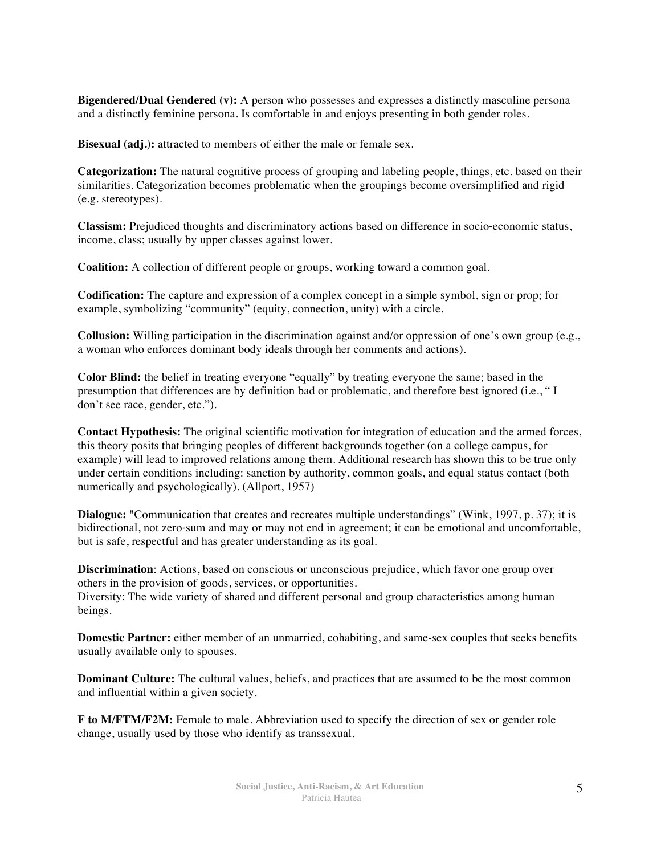**Bigendered/Dual Gendered (v):** A person who possesses and expresses a distinctly masculine persona and a distinctly feminine persona. Is comfortable in and enjoys presenting in both gender roles.

**Bisexual (adj.):** attracted to members of either the male or female sex.

**Categorization:** The natural cognitive process of grouping and labeling people, things, etc. based on their similarities. Categorization becomes problematic when the groupings become oversimplified and rigid (e.g. stereotypes).

**Classism:** Prejudiced thoughts and discriminatory actions based on difference in socio‐economic status, income, class; usually by upper classes against lower.

**Coalition:** A collection of different people or groups, working toward a common goal.

**Codification:** The capture and expression of a complex concept in a simple symbol, sign or prop; for example, symbolizing "community" (equity, connection, unity) with a circle.

**Collusion:** Willing participation in the discrimination against and/or oppression of one's own group (e.g., a woman who enforces dominant body ideals through her comments and actions).

**Color Blind:** the belief in treating everyone "equally" by treating everyone the same; based in the presumption that differences are by definition bad or problematic, and therefore best ignored (i.e., " I don't see race, gender, etc.").

**Contact Hypothesis:** The original scientific motivation for integration of education and the armed forces, this theory posits that bringing peoples of different backgrounds together (on a college campus, for example) will lead to improved relations among them. Additional research has shown this to be true only under certain conditions including: sanction by authority, common goals, and equal status contact (both numerically and psychologically). (Allport, 1957)

**Dialogue:** "Communication that creates and recreates multiple understandings" (Wink, 1997, p. 37); it is bidirectional, not zero‐sum and may or may not end in agreement; it can be emotional and uncomfortable, but is safe, respectful and has greater understanding as its goal.

**Discrimination**: Actions, based on conscious or unconscious prejudice, which favor one group over others in the provision of goods, services, or opportunities.

Diversity: The wide variety of shared and different personal and group characteristics among human beings.

**Domestic Partner:** either member of an unmarried, cohabiting, and same-sex couples that seeks benefits usually available only to spouses.

**Dominant Culture:** The cultural values, beliefs, and practices that are assumed to be the most common and influential within a given society.

**F to M/FTM/F2M:** Female to male. Abbreviation used to specify the direction of sex or gender role change, usually used by those who identify as transsexual.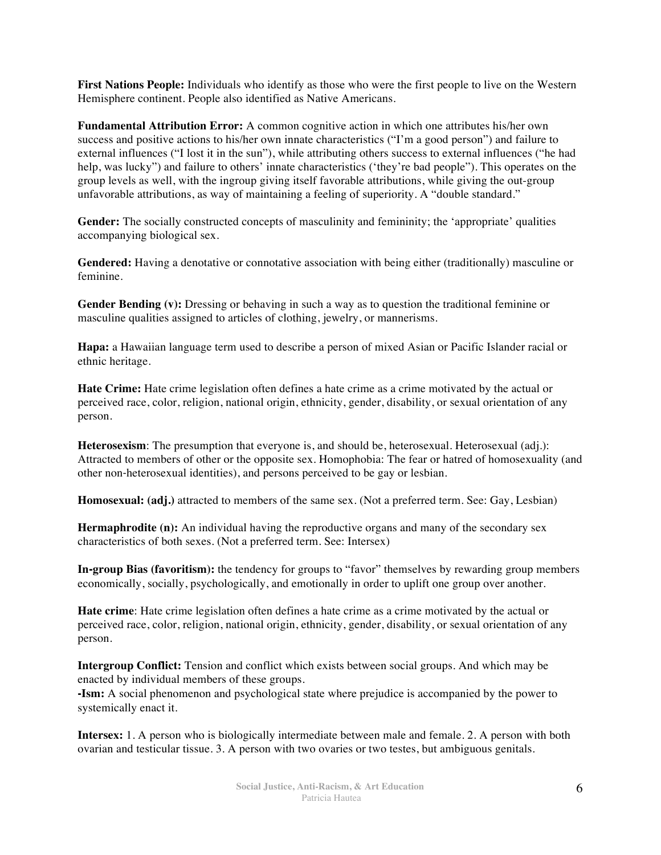**First Nations People:** Individuals who identify as those who were the first people to live on the Western Hemisphere continent. People also identified as Native Americans.

**Fundamental Attribution Error:** A common cognitive action in which one attributes his/her own success and positive actions to his/her own innate characteristics ("I'm a good person") and failure to external influences ("I lost it in the sun"), while attributing others success to external influences ("he had help, was lucky") and failure to others' innate characteristics ('they're bad people"). This operates on the group levels as well, with the ingroup giving itself favorable attributions, while giving the out-group unfavorable attributions, as way of maintaining a feeling of superiority. A "double standard."

**Gender:** The socially constructed concepts of masculinity and femininity; the 'appropriate' qualities accompanying biological sex.

**Gendered:** Having a denotative or connotative association with being either (traditionally) masculine or feminine.

**Gender Bending (v):** Dressing or behaving in such a way as to question the traditional feminine or masculine qualities assigned to articles of clothing, jewelry, or mannerisms.

**Hapa:** a Hawaiian language term used to describe a person of mixed Asian or Pacific Islander racial or ethnic heritage.

**Hate Crime:** Hate crime legislation often defines a hate crime as a crime motivated by the actual or perceived race, color, religion, national origin, ethnicity, gender, disability, or sexual orientation of any person.

**Heterosexism**: The presumption that everyone is, and should be, heterosexual. Heterosexual (adj.): Attracted to members of other or the opposite sex. Homophobia: The fear or hatred of homosexuality (and other non‐heterosexual identities), and persons perceived to be gay or lesbian.

**Homosexual: (adj.)** attracted to members of the same sex. (Not a preferred term. See: Gay, Lesbian)

**Hermaphrodite (n):** An individual having the reproductive organs and many of the secondary sex characteristics of both sexes. (Not a preferred term. See: Intersex)

**In‐group Bias (favoritism):** the tendency for groups to "favor" themselves by rewarding group members economically, socially, psychologically, and emotionally in order to uplift one group over another.

**Hate crime**: Hate crime legislation often defines a hate crime as a crime motivated by the actual or perceived race, color, religion, national origin, ethnicity, gender, disability, or sexual orientation of any person.

**Intergroup Conflict:** Tension and conflict which exists between social groups. And which may be enacted by individual members of these groups.

**‐Ism:** A social phenomenon and psychological state where prejudice is accompanied by the power to systemically enact it.

**Intersex:** 1. A person who is biologically intermediate between male and female. 2. A person with both ovarian and testicular tissue. 3. A person with two ovaries or two testes, but ambiguous genitals.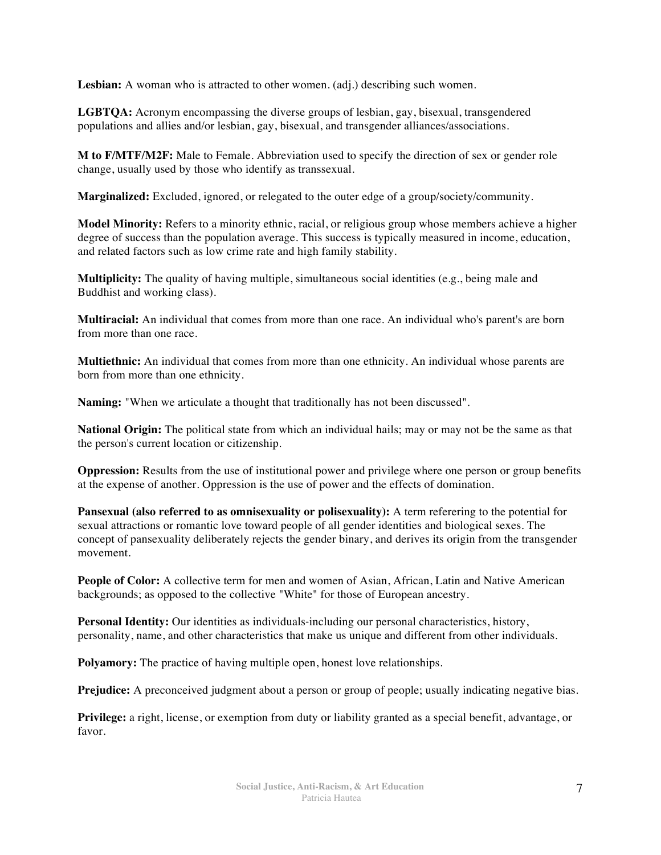**Lesbian:** A woman who is attracted to other women. (adj.) describing such women.

**LGBTQA:** Acronym encompassing the diverse groups of lesbian, gay, bisexual, transgendered populations and allies and/or lesbian, gay, bisexual, and transgender alliances/associations.

**M to F/MTF/M2F:** Male to Female. Abbreviation used to specify the direction of sex or gender role change, usually used by those who identify as transsexual.

**Marginalized:** Excluded, ignored, or relegated to the outer edge of a group/society/community.

**Model Minority:** Refers to a minority ethnic, racial, or religious group whose members achieve a higher degree of success than the population average. This success is typically measured in income, education, and related factors such as low crime rate and high family stability.

**Multiplicity:** The quality of having multiple, simultaneous social identities (e.g., being male and Buddhist and working class).

**Multiracial:** An individual that comes from more than one race. An individual who's parent's are born from more than one race.

**Multiethnic:** An individual that comes from more than one ethnicity. An individual whose parents are born from more than one ethnicity.

**Naming:** "When we articulate a thought that traditionally has not been discussed".

**National Origin:** The political state from which an individual hails; may or may not be the same as that the person's current location or citizenship.

**Oppression:** Results from the use of institutional power and privilege where one person or group benefits at the expense of another. Oppression is the use of power and the effects of domination.

**Pansexual (also referred to as omnisexuality or polisexuality):** A term referering to the potential for sexual attractions or romantic love toward people of all gender identities and biological sexes. The concept of pansexuality deliberately rejects the gender binary, and derives its origin from the transgender movement.

**People of Color:** A collective term for men and women of Asian, African, Latin and Native American backgrounds; as opposed to the collective "White" for those of European ancestry.

**Personal Identity:** Our identities as individuals‐including our personal characteristics, history, personality, name, and other characteristics that make us unique and different from other individuals.

**Polyamory:** The practice of having multiple open, honest love relationships.

**Prejudice:** A preconceived judgment about a person or group of people; usually indicating negative bias.

**Privilege:** a right, license, or exemption from duty or liability granted as a special benefit, advantage, or favor.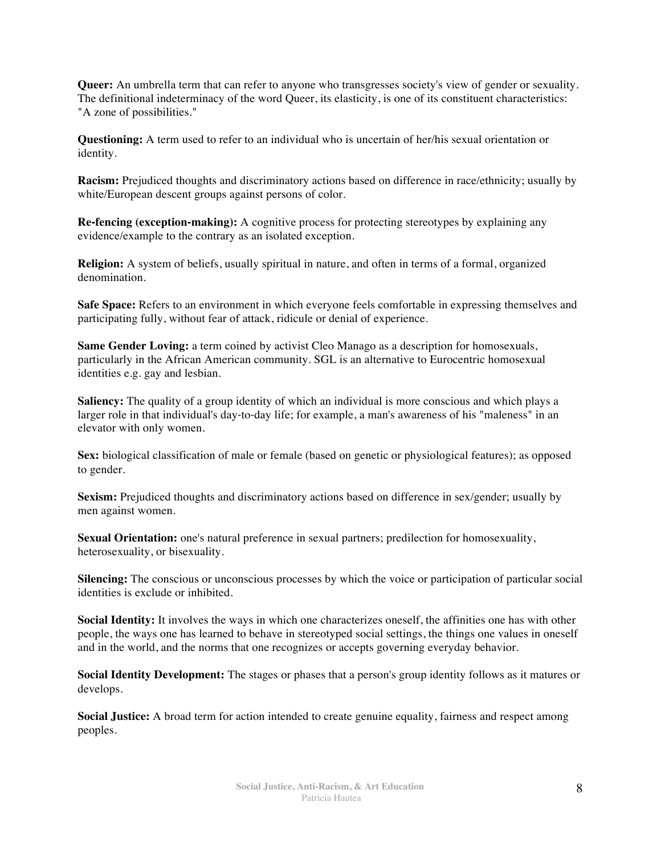**Queer:** An umbrella term that can refer to anyone who transgresses society's view of gender or sexuality. The definitional indeterminacy of the word Queer, its elasticity, is one of its constituent characteristics: "A zone of possibilities."

**Questioning:** A term used to refer to an individual who is uncertain of her/his sexual orientation or identity.

**Racism:** Prejudiced thoughts and discriminatory actions based on difference in race/ethnicity; usually by white/European descent groups against persons of color.

**Re‐fencing (exception‐making):** A cognitive process for protecting stereotypes by explaining any evidence/example to the contrary as an isolated exception.

**Religion:** A system of beliefs, usually spiritual in nature, and often in terms of a formal, organized denomination.

**Safe Space:** Refers to an environment in which everyone feels comfortable in expressing themselves and participating fully, without fear of attack, ridicule or denial of experience.

**Same Gender Loving:** a term coined by activist Cleo Manago as a description for homosexuals, particularly in the African American community. SGL is an alternative to Eurocentric homosexual identities e.g. gay and lesbian.

**Saliency:** The quality of a group identity of which an individual is more conscious and which plays a larger role in that individual's day-to-day life; for example, a man's awareness of his "maleness" in an elevator with only women.

**Sex:** biological classification of male or female (based on genetic or physiological features); as opposed to gender.

**Sexism:** Prejudiced thoughts and discriminatory actions based on difference in sex/gender; usually by men against women.

**Sexual Orientation:** one's natural preference in sexual partners; predilection for homosexuality, heterosexuality, or bisexuality.

**Silencing:** The conscious or unconscious processes by which the voice or participation of particular social identities is exclude or inhibited.

**Social Identity:** It involves the ways in which one characterizes oneself, the affinities one has with other people, the ways one has learned to behave in stereotyped social settings, the things one values in oneself and in the world, and the norms that one recognizes or accepts governing everyday behavior.

**Social Identity Development:** The stages or phases that a person's group identity follows as it matures or develops.

**Social Justice:** A broad term for action intended to create genuine equality, fairness and respect among peoples.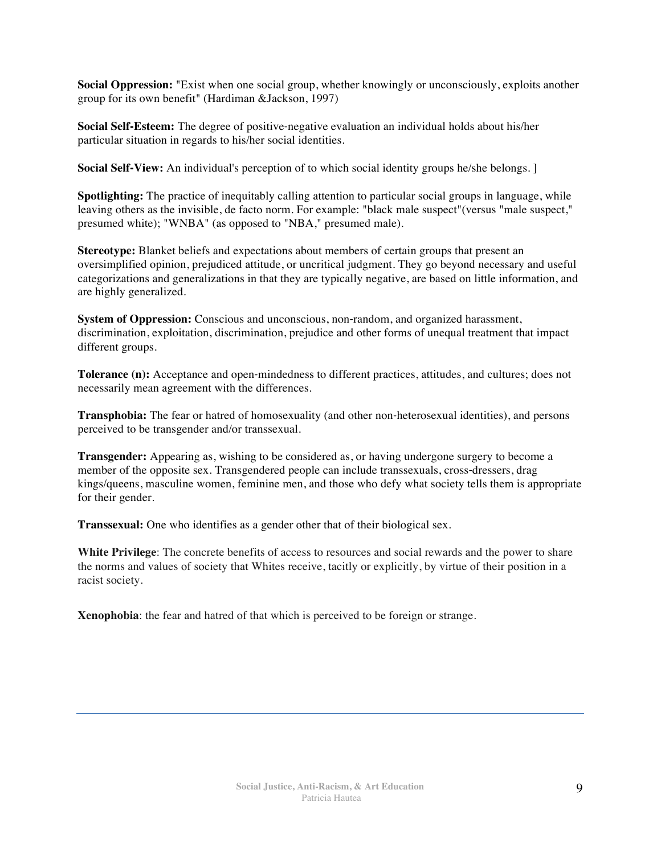**Social Oppression:** "Exist when one social group, whether knowingly or unconsciously, exploits another group for its own benefit" (Hardiman &Jackson, 1997)

**Social Self‐Esteem:** The degree of positive‐negative evaluation an individual holds about his/her particular situation in regards to his/her social identities.

**Social Self‐View:** An individual's perception of to which social identity groups he/she belongs. ]

**Spotlighting:** The practice of inequitably calling attention to particular social groups in language, while leaving others as the invisible, de facto norm. For example: "black male suspect"(versus "male suspect," presumed white); "WNBA" (as opposed to "NBA," presumed male).

**Stereotype:** Blanket beliefs and expectations about members of certain groups that present an oversimplified opinion, prejudiced attitude, or uncritical judgment. They go beyond necessary and useful categorizations and generalizations in that they are typically negative, are based on little information, and are highly generalized.

**System of Oppression:** Conscious and unconscious, non-random, and organized harassment, discrimination, exploitation, discrimination, prejudice and other forms of unequal treatment that impact different groups.

**Tolerance (n):** Acceptance and open‐mindedness to different practices, attitudes, and cultures; does not necessarily mean agreement with the differences.

**Transphobia:** The fear or hatred of homosexuality (and other non-heterosexual identities), and persons perceived to be transgender and/or transsexual.

**Transgender:** Appearing as, wishing to be considered as, or having undergone surgery to become a member of the opposite sex. Transgendered people can include transsexuals, cross-dressers, drag kings/queens, masculine women, feminine men, and those who defy what society tells them is appropriate for their gender.

**Transsexual:** One who identifies as a gender other that of their biological sex.

**White Privilege**: The concrete benefits of access to resources and social rewards and the power to share the norms and values of society that Whites receive, tacitly or explicitly, by virtue of their position in a racist society.

**Xenophobia**: the fear and hatred of that which is perceived to be foreign or strange.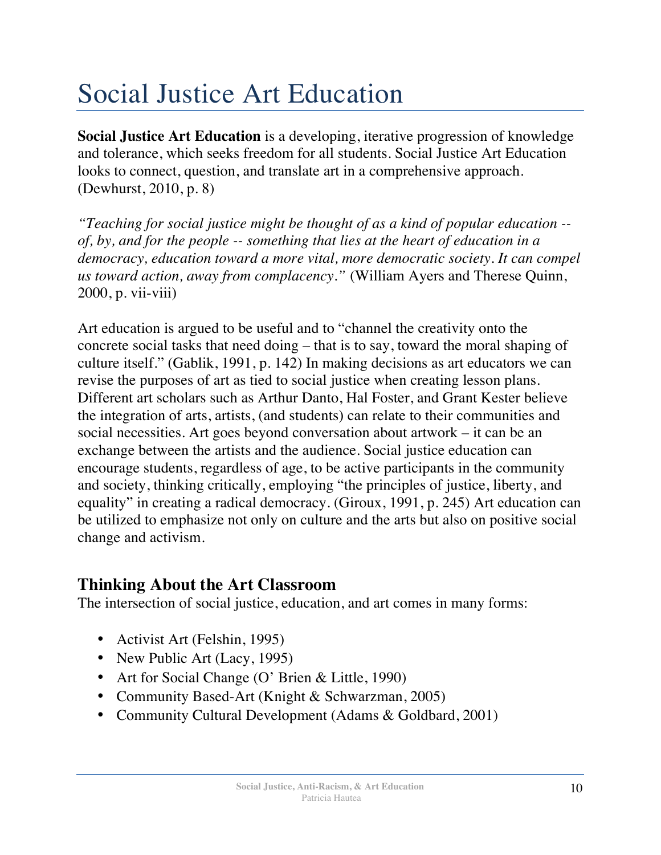# Social Justice Art Education

**Social Justice Art Education** is a developing, iterative progression of knowledge and tolerance, which seeks freedom for all students. Social Justice Art Education looks to connect, question, and translate art in a comprehensive approach. (Dewhurst, 2010, p. 8)

*"Teaching for social justice might be thought of as a kind of popular education - of, by, and for the people -- something that lies at the heart of education in a democracy, education toward a more vital, more democratic society. It can compel us toward action, away from complacency."* (William Ayers and Therese Quinn, 2000, p. vii-viii)

Art education is argued to be useful and to "channel the creativity onto the concrete social tasks that need doing – that is to say, toward the moral shaping of culture itself." (Gablik, 1991, p. 142) In making decisions as art educators we can revise the purposes of art as tied to social justice when creating lesson plans. Different art scholars such as Arthur Danto, Hal Foster, and Grant Kester believe the integration of arts, artists, (and students) can relate to their communities and social necessities. Art goes beyond conversation about artwork – it can be an exchange between the artists and the audience. Social justice education can encourage students, regardless of age, to be active participants in the community and society, thinking critically, employing "the principles of justice, liberty, and equality" in creating a radical democracy. (Giroux, 1991, p. 245) Art education can be utilized to emphasize not only on culture and the arts but also on positive social change and activism.

## **Thinking About the Art Classroom**

The intersection of social justice, education, and art comes in many forms:

- Activist Art (Felshin, 1995)
- New Public Art (Lacy, 1995)
- Art for Social Change (O' Brien & Little, 1990)
- Community Based-Art (Knight & Schwarzman, 2005)
- Community Cultural Development (Adams & Goldbard, 2001)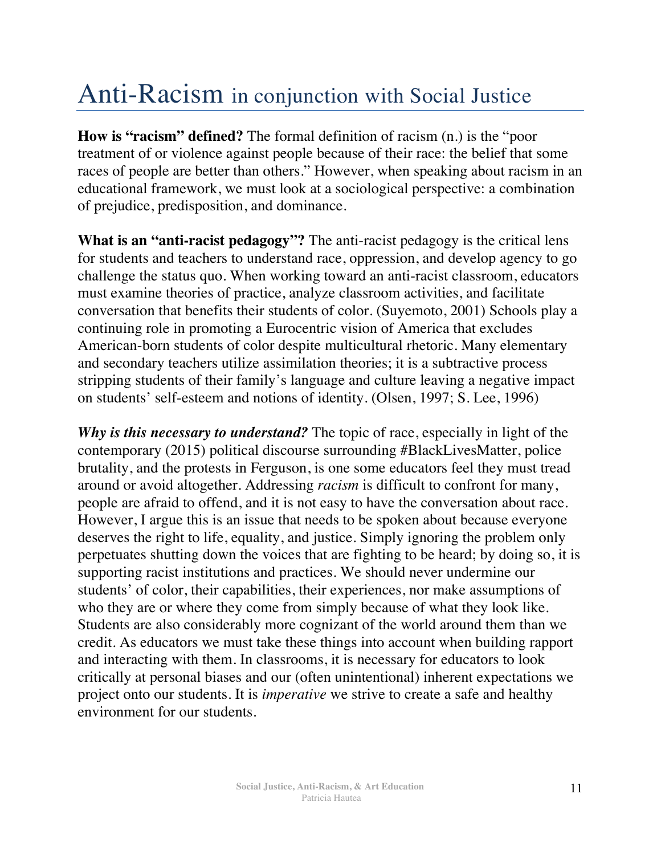# Anti-Racism in conjunction with Social Justice

**How is "racism" defined?** The formal definition of racism (n.) is the "poor treatment of or violence against people because of their race: the belief that some races of people are better than others." However, when speaking about racism in an educational framework, we must look at a sociological perspective: a combination of prejudice, predisposition, and dominance.

**What is an "anti-racist pedagogy"?** The anti-racist pedagogy is the critical lens for students and teachers to understand race, oppression, and develop agency to go challenge the status quo. When working toward an anti-racist classroom, educators must examine theories of practice, analyze classroom activities, and facilitate conversation that benefits their students of color. (Suyemoto, 2001) Schools play a continuing role in promoting a Eurocentric vision of America that excludes American-born students of color despite multicultural rhetoric. Many elementary and secondary teachers utilize assimilation theories; it is a subtractive process stripping students of their family's language and culture leaving a negative impact on students' self-esteem and notions of identity. (Olsen, 1997; S. Lee, 1996)

*Why is this necessary to understand?* The topic of race, especially in light of the contemporary (2015) political discourse surrounding #BlackLivesMatter, police brutality, and the protests in Ferguson, is one some educators feel they must tread around or avoid altogether. Addressing *racism* is difficult to confront for many, people are afraid to offend, and it is not easy to have the conversation about race. However, I argue this is an issue that needs to be spoken about because everyone deserves the right to life, equality, and justice. Simply ignoring the problem only perpetuates shutting down the voices that are fighting to be heard; by doing so, it is supporting racist institutions and practices. We should never undermine our students' of color, their capabilities, their experiences, nor make assumptions of who they are or where they come from simply because of what they look like. Students are also considerably more cognizant of the world around them than we credit. As educators we must take these things into account when building rapport and interacting with them. In classrooms, it is necessary for educators to look critically at personal biases and our (often unintentional) inherent expectations we project onto our students. It is *imperative* we strive to create a safe and healthy environment for our students.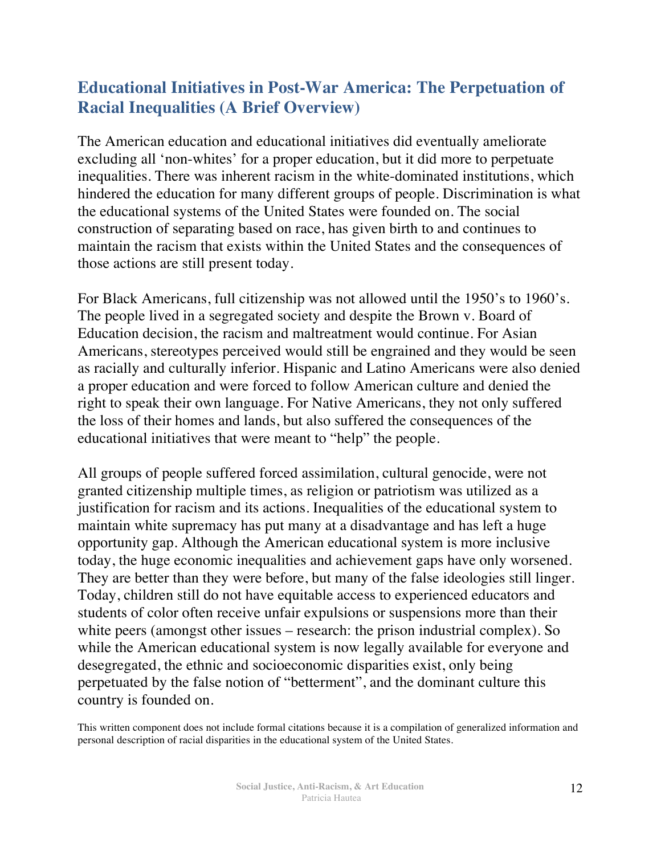## **Educational Initiatives in Post-War America: The Perpetuation of Racial Inequalities (A Brief Overview)**

The American education and educational initiatives did eventually ameliorate excluding all 'non-whites' for a proper education, but it did more to perpetuate inequalities. There was inherent racism in the white-dominated institutions, which hindered the education for many different groups of people. Discrimination is what the educational systems of the United States were founded on. The social construction of separating based on race, has given birth to and continues to maintain the racism that exists within the United States and the consequences of those actions are still present today.

For Black Americans, full citizenship was not allowed until the 1950's to 1960's. The people lived in a segregated society and despite the Brown v. Board of Education decision, the racism and maltreatment would continue. For Asian Americans, stereotypes perceived would still be engrained and they would be seen as racially and culturally inferior. Hispanic and Latino Americans were also denied a proper education and were forced to follow American culture and denied the right to speak their own language. For Native Americans, they not only suffered the loss of their homes and lands, but also suffered the consequences of the educational initiatives that were meant to "help" the people.

All groups of people suffered forced assimilation, cultural genocide, were not granted citizenship multiple times, as religion or patriotism was utilized as a justification for racism and its actions. Inequalities of the educational system to maintain white supremacy has put many at a disadvantage and has left a huge opportunity gap. Although the American educational system is more inclusive today, the huge economic inequalities and achievement gaps have only worsened. They are better than they were before, but many of the false ideologies still linger. Today, children still do not have equitable access to experienced educators and students of color often receive unfair expulsions or suspensions more than their white peers (amongst other issues – research: the prison industrial complex). So while the American educational system is now legally available for everyone and desegregated, the ethnic and socioeconomic disparities exist, only being perpetuated by the false notion of "betterment", and the dominant culture this country is founded on.

This written component does not include formal citations because it is a compilation of generalized information and personal description of racial disparities in the educational system of the United States.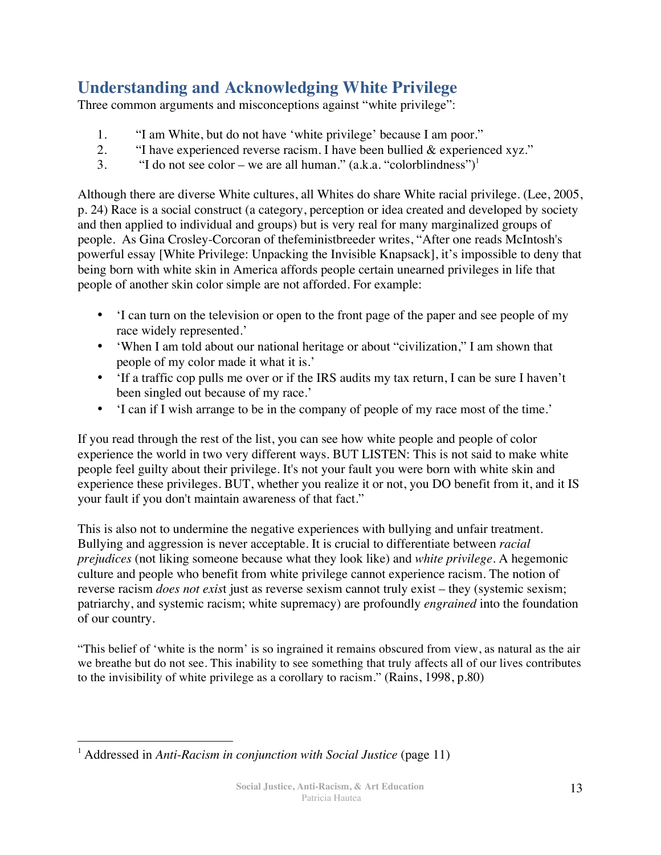## **Understanding and Acknowledging White Privilege**

Three common arguments and misconceptions against "white privilege":

- 1. "I am White, but do not have 'white privilege' because I am poor."
- 2. "I have experienced reverse racism. I have been bullied  $&$  experienced xyz."
- 3. "I do not see color we are all human."  $(a.k.a. "colorblindness")<sup>1</sup>$

Although there are diverse White cultures, all Whites do share White racial privilege. (Lee, 2005, p. 24) Race is a social construct (a category, perception or idea created and developed by society and then applied to individual and groups) but is very real for many marginalized groups of people. As Gina Crosley-Corcoran of thefeministbreeder writes, "After one reads McIntosh's powerful essay [White Privilege: Unpacking the Invisible Knapsack], it's impossible to deny that being born with white skin in America affords people certain unearned privileges in life that people of another skin color simple are not afforded. For example:

- 'I can turn on the television or open to the front page of the paper and see people of my race widely represented.'
- 'When I am told about our national heritage or about "civilization," I am shown that people of my color made it what it is.'
- 'If a traffic cop pulls me over or if the IRS audits my tax return, I can be sure I haven't been singled out because of my race.'
- 'I can if I wish arrange to be in the company of people of my race most of the time.'

If you read through the rest of the list, you can see how white people and people of color experience the world in two very different ways. BUT LISTEN: This is not said to make white people feel guilty about their privilege. It's not your fault you were born with white skin and experience these privileges. BUT, whether you realize it or not, you DO benefit from it, and it IS your fault if you don't maintain awareness of that fact."

This is also not to undermine the negative experiences with bullying and unfair treatment. Bullying and aggression is never acceptable. It is crucial to differentiate between *racial prejudices* (not liking someone because what they look like) and *white privilege*. A hegemonic culture and people who benefit from white privilege cannot experience racism. The notion of reverse racism *does not exis*t just as reverse sexism cannot truly exist – they (systemic sexism; patriarchy, and systemic racism; white supremacy) are profoundly *engrained* into the foundation of our country.

"This belief of 'white is the norm' is so ingrained it remains obscured from view, as natural as the air we breathe but do not see. This inability to see something that truly affects all of our lives contributes to the invisibility of white privilege as a corollary to racism." (Rains, 1998, p.80)

 $\overline{a}$ 

<sup>1</sup> Addressed in *Anti-Racism in conjunction with Social Justice* (page 11)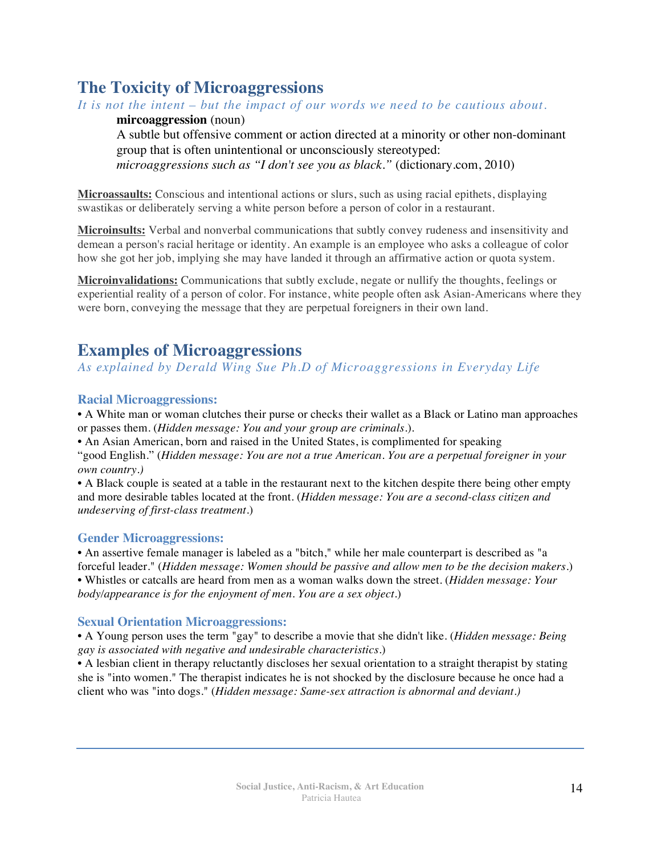## **The Toxicity of Microaggressions**

*It is not the intent – but the impact of our words we need to be cautious about.*

**mircoaggression** (noun)

A subtle but offensive comment or action directed at a minority or other non-dominant group that is often unintentional or unconsciously stereotyped: *microaggressions such as "I don't see you as black."* (dictionary.com, 2010)

**Microassaults:** Conscious and intentional actions or slurs, such as using racial epithets, displaying swastikas or deliberately serving a white person before a person of color in a restaurant.

**Microinsults:** Verbal and nonverbal communications that subtly convey rudeness and insensitivity and demean a person's racial heritage or identity. An example is an employee who asks a colleague of color how she got her job, implying she may have landed it through an affirmative action or quota system.

**Microinvalidations:** Communications that subtly exclude, negate or nullify the thoughts, feelings or experiential reality of a person of color. For instance, white people often ask Asian-Americans where they were born, conveying the message that they are perpetual foreigners in their own land.

### **Examples of Microaggressions**

*As explained by Derald Wing Sue Ph.D of Microaggressions in Everyday Life*

#### **Racial Microaggressions:**

• A White man or woman clutches their purse or checks their wallet as a Black or Latino man approaches or passes them. (*Hidden message: You and your group are criminals.*).

• An Asian American, born and raised in the United States, is complimented for speaking "good English." (*Hidden message: You are not a true American. You are a perpetual foreigner in your own country.)*

• A Black couple is seated at a table in the restaurant next to the kitchen despite there being other empty and more desirable tables located at the front. (*Hidden message: You are a second-class citizen and undeserving of first-class treatment.*)

#### **Gender Microaggressions:**

• An assertive female manager is labeled as a "bitch," while her male counterpart is described as "a forceful leader." (*Hidden message: Women should be passive and allow men to be the decision makers.*) • Whistles or catcalls are heard from men as a woman walks down the street. (*Hidden message: Your body/appearance is for the enjoyment of men. You are a sex object.*)

#### **Sexual Orientation Microaggressions:**

• A Young person uses the term "gay" to describe a movie that she didn't like. (*Hidden message: Being gay is associated with negative and undesirable characteristics.*)

• A lesbian client in therapy reluctantly discloses her sexual orientation to a straight therapist by stating she is "into women." The therapist indicates he is not shocked by the disclosure because he once had a client who was "into dogs." (*Hidden message: Same-sex attraction is abnormal and deviant.)*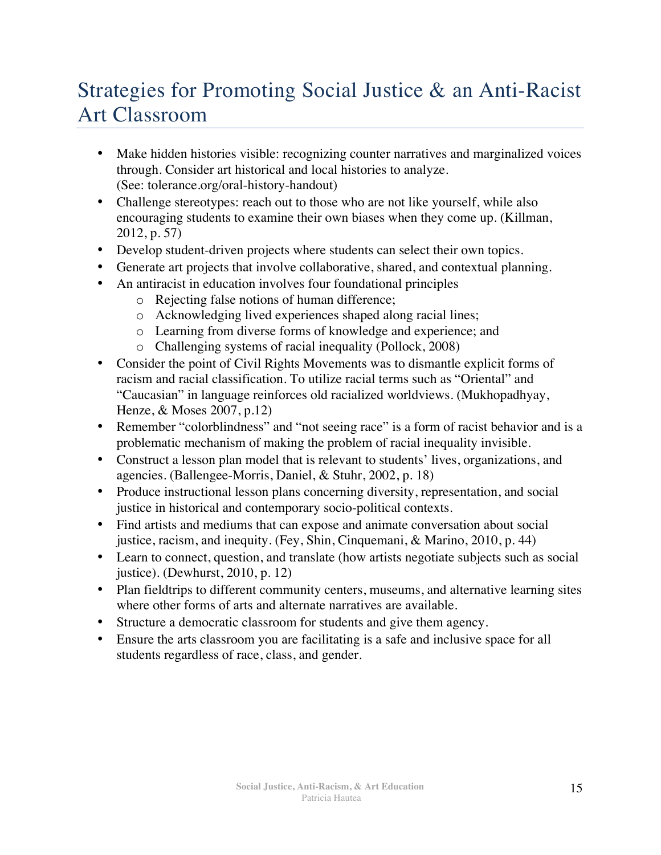## Strategies for Promoting Social Justice & an Anti-Racist Art Classroom

- Make hidden histories visible: recognizing counter narratives and marginalized voices through. Consider art historical and local histories to analyze. (See: tolerance.org/oral-history-handout)
- Challenge stereotypes: reach out to those who are not like yourself, while also encouraging students to examine their own biases when they come up. (Killman, 2012, p. 57)
- Develop student-driven projects where students can select their own topics.
- Generate art projects that involve collaborative, shared, and contextual planning.
- An antiracist in education involves four foundational principles
	- o Rejecting false notions of human difference;
	- o Acknowledging lived experiences shaped along racial lines;
	- o Learning from diverse forms of knowledge and experience; and
	- o Challenging systems of racial inequality (Pollock, 2008)
- Consider the point of Civil Rights Movements was to dismantle explicit forms of racism and racial classification. To utilize racial terms such as "Oriental" and "Caucasian" in language reinforces old racialized worldviews. (Mukhopadhyay, Henze, & Moses 2007, p.12)
- Remember "colorblindness" and "not seeing race" is a form of racist behavior and is a problematic mechanism of making the problem of racial inequality invisible.
- Construct a lesson plan model that is relevant to students' lives, organizations, and agencies. (Ballengee-Morris, Daniel, & Stuhr, 2002, p. 18)
- Produce instructional lesson plans concerning diversity, representation, and social justice in historical and contemporary socio-political contexts.
- Find artists and mediums that can expose and animate conversation about social justice, racism, and inequity. (Fey, Shin, Cinquemani, & Marino, 2010, p. 44)
- Learn to connect, question, and translate (how artists negotiate subjects such as social justice). (Dewhurst, 2010, p. 12)
- Plan fieldtrips to different community centers, museums, and alternative learning sites where other forms of arts and alternate narratives are available.
- Structure a democratic classroom for students and give them agency.
- Ensure the arts classroom you are facilitating is a safe and inclusive space for all students regardless of race, class, and gender.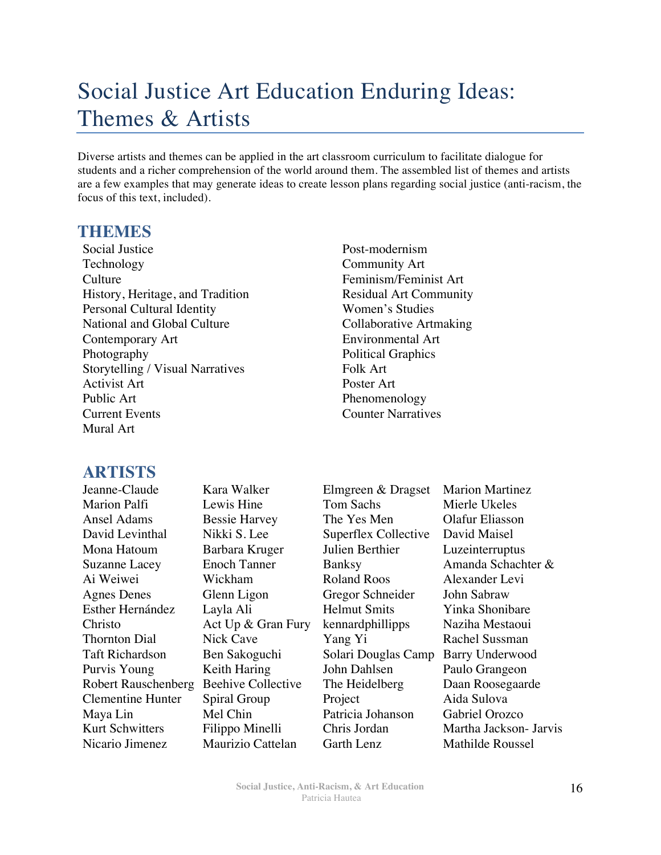# Social Justice Art Education Enduring Ideas: Themes & Artists

Diverse artists and themes can be applied in the art classroom curriculum to facilitate dialogue for students and a richer comprehension of the world around them. The assembled list of themes and artists are a few examples that may generate ideas to create lesson plans regarding social justice (anti-racism, the focus of this text, included).

#### **THEMES**

Social Justice Technology Culture History, Heritage, and Tradition Personal Cultural Identity National and Global Culture Contemporary Art Photography Storytelling / Visual Narratives Activist Art Public Art Current Events Mural Art

Post-modernism Community Art Feminism/Feminist Art Residual Art Community Women's Studies Collaborative Artmaking Environmental Art Political Graphics Folk Art Poster Art Phenomenology Counter Narratives

#### **ARTISTS**

Jeanne-Claude Marion Palfi Ansel Adams David Levinthal Mona Hatoum Suzanne Lacey Ai Weiwei Agnes Denes Esther Hernández Christo Thornton Dial Taft Richardson Purvis Young Robert Rauschenberg Clementine Hunter Maya Lin Kurt Schwitters Nicario Jimenez

Kara Walker Lewis Hine Bessie Harvey Nikki S. Lee Barbara Kruger Enoch Tanner Wickham Glenn Ligon Layla Ali Act Up & Gran Fury Nick Cave Ben Sakoguchi Keith Haring Beehive Collective Spiral Group Mel Chin Filippo Minelli Maurizio Cattelan

Elmgreen & Dragset Tom Sachs The Yes Men Superflex Collective Julien Berthier Banksy Roland Roos Gregor Schneider Helmut Smits kennardphillipps Yang Yi Solari Douglas Camp Barry Underwood John Dahlsen The Heidelberg Project Patricia Johanson Chris Jordan Garth Lenz Marion Martinez Mierle Ukeles Olafur Eliasson David Maisel Luzeinterruptus Amanda Schachter & Alexander Levi John Sabraw Yinka Shonibare Naziha Mestaoui Rachel Sussman Paulo Grangeon Daan Roosegaarde Aida Sulova Gabriel Orozco Martha Jackson- Jarvis Mathilde Roussel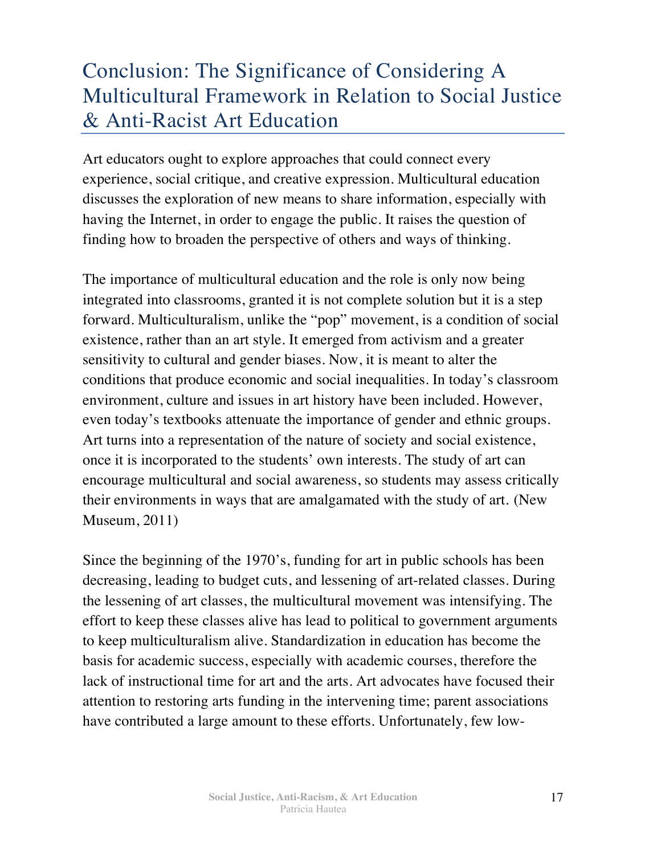## Conclusion: The Significance of Considering A Multicultural Framework in Relation to Social Justice & Anti-Racist Art Education

Art educators ought to explore approaches that could connect every experience, social critique, and creative expression. Multicultural education discusses the exploration of new means to share information, especially with having the Internet, in order to engage the public. It raises the question of finding how to broaden the perspective of others and ways of thinking.

The importance of multicultural education and the role is only now being integrated into classrooms, granted it is not complete solution but it is a step forward. Multiculturalism, unlike the "pop" movement, is a condition of social existence, rather than an art style. It emerged from activism and a greater sensitivity to cultural and gender biases. Now, it is meant to alter the conditions that produce economic and social inequalities. In today's classroom environment, culture and issues in art history have been included. However, even today's textbooks attenuate the importance of gender and ethnic groups. Art turns into a representation of the nature of society and social existence, once it is incorporated to the students' own interests. The study of art can encourage multicultural and social awareness, so students may assess critically their environments in ways that are amalgamated with the study of art. (New Museum, 2011)

Since the beginning of the 1970's, funding for art in public schools has been decreasing, leading to budget cuts, and lessening of art-related classes. During the lessening of art classes, the multicultural movement was intensifying. The effort to keep these classes alive has lead to political to government arguments to keep multiculturalism alive. Standardization in education has become the basis for academic success, especially with academic courses, therefore the lack of instructional time for art and the arts. Art advocates have focused their attention to restoring arts funding in the intervening time; parent associations have contributed a large amount to these efforts. Unfortunately, few low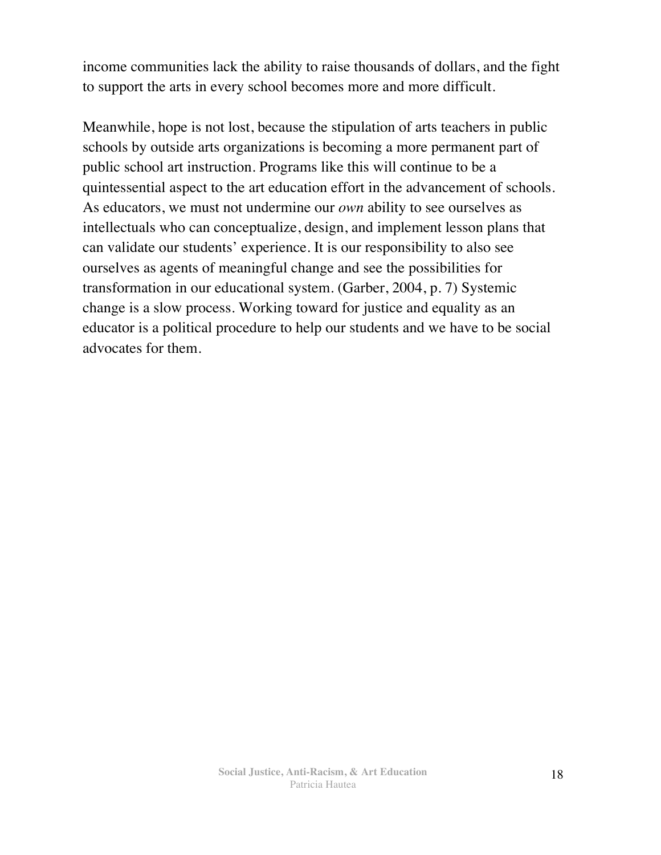income communities lack the ability to raise thousands of dollars, and the fight to support the arts in every school becomes more and more difficult.

Meanwhile, hope is not lost, because the stipulation of arts teachers in public schools by outside arts organizations is becoming a more permanent part of public school art instruction. Programs like this will continue to be a quintessential aspect to the art education effort in the advancement of schools. As educators, we must not undermine our *own* ability to see ourselves as intellectuals who can conceptualize, design, and implement lesson plans that can validate our students' experience. It is our responsibility to also see ourselves as agents of meaningful change and see the possibilities for transformation in our educational system. (Garber, 2004, p. 7) Systemic change is a slow process. Working toward for justice and equality as an educator is a political procedure to help our students and we have to be social advocates for them.